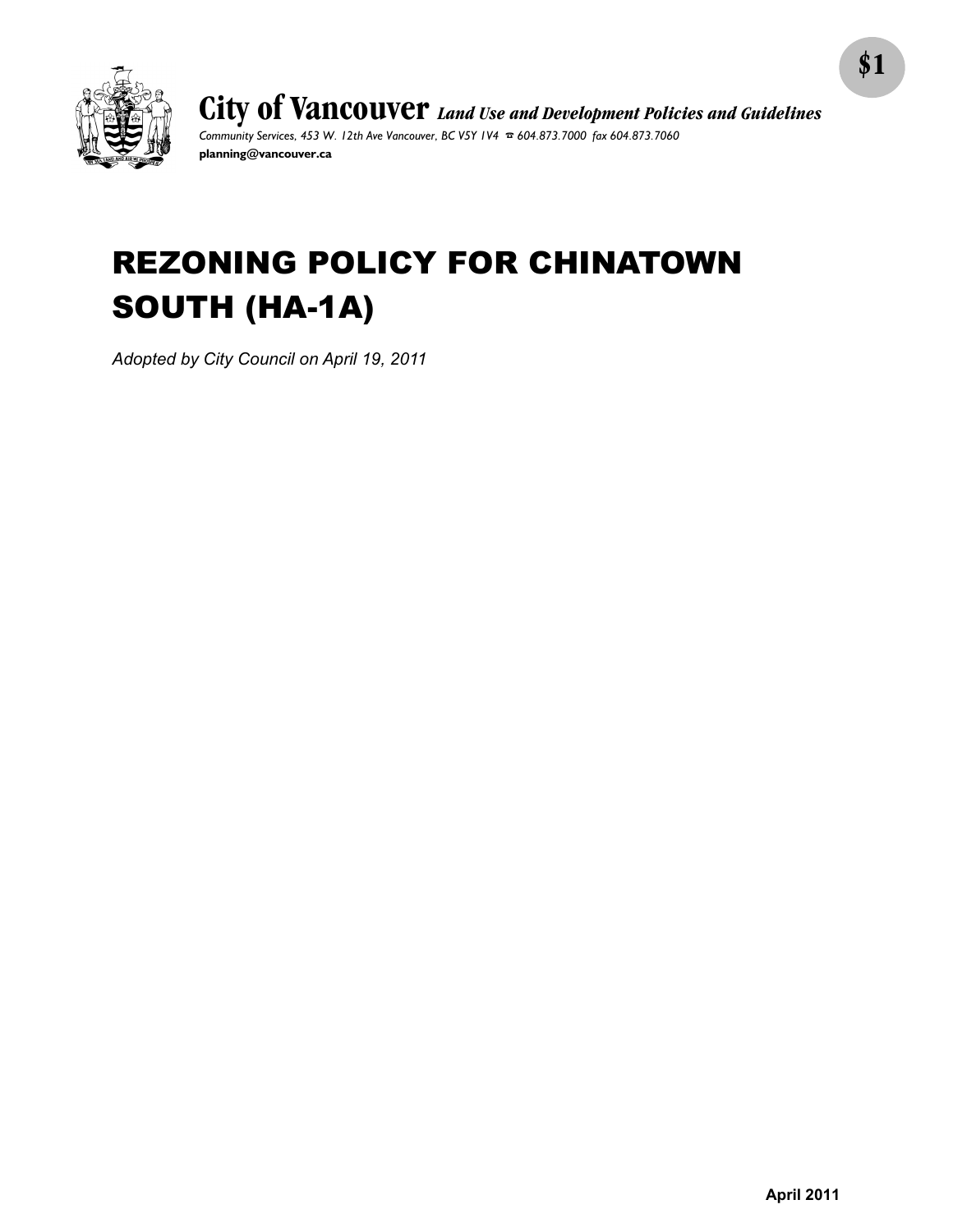

**City of Vancouver** *Land Use and Development Policies and Guidelines Community Services, 453 W. 12th Ave Vancouver, BC V5Y 1V4* F *604.873.7000 fax 604.873.7060* **planning@vancouver.ca**

# REZONING POLICY FOR CHINATOWN SOUTH (HA-1A)

*Adopted by City Council on April 19, 2011*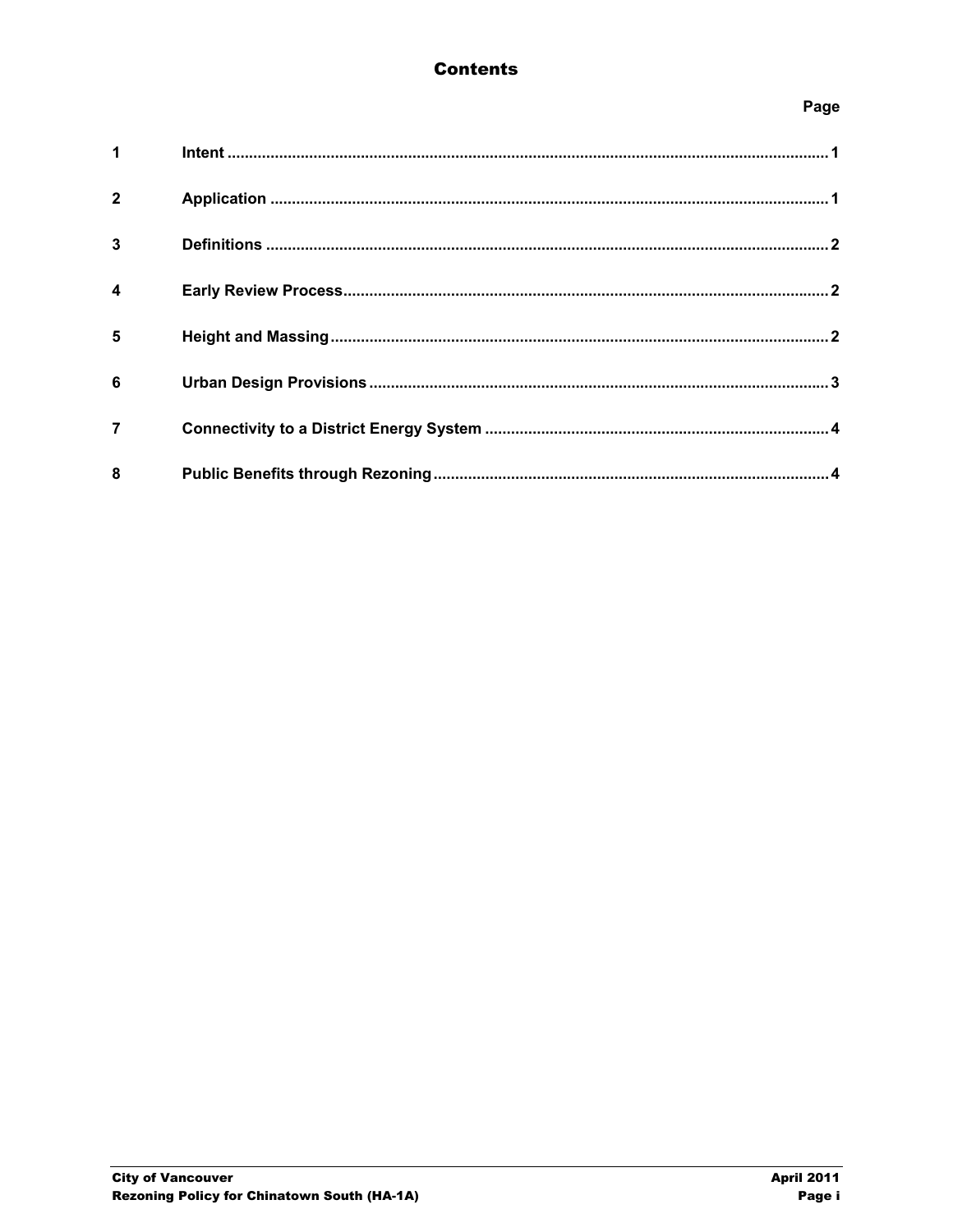## **Contents**

## Page

| $1 \quad \blacksquare$ |  |
|------------------------|--|
| $\overline{2}$         |  |
| $\overline{3}$         |  |
| $\boldsymbol{4}$       |  |
| $5\phantom{1}$         |  |
| 6                      |  |
| $\overline{7}$         |  |
| 8                      |  |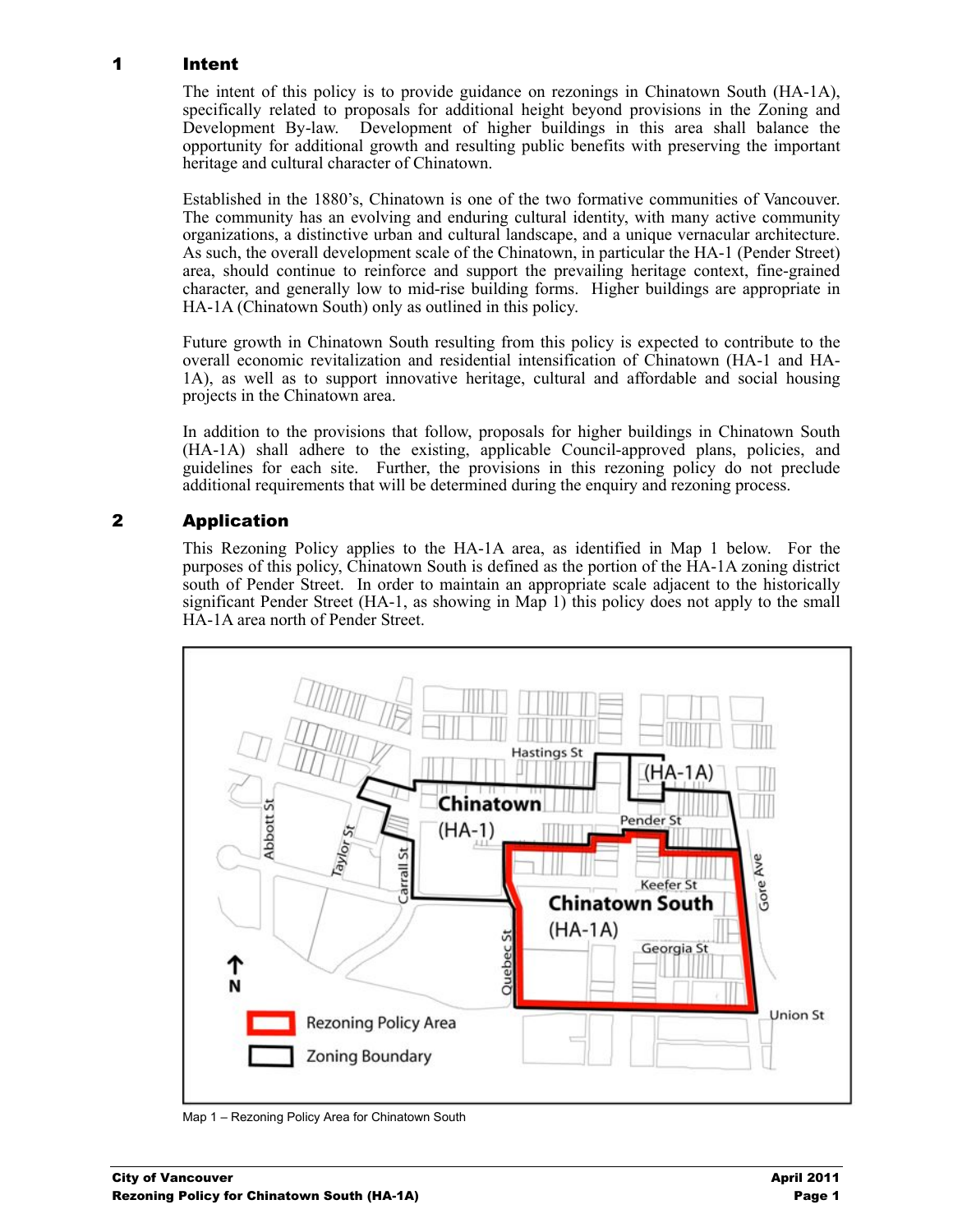#### 1 Intent

The intent of this policy is to provide guidance on rezonings in Chinatown South (HA-1A), specifically related to proposals for additional height beyond provisions in the Zoning and Development By-law. Development of higher buildings in this area shall balance the opportunity for additional growth and resulting public benefits with preserving the important heritage and cultural character of Chinatown.

Established in the 1880's, Chinatown is one of the two formative communities of Vancouver. The community has an evolving and enduring cultural identity, with many active community organizations, a distinctive urban and cultural landscape, and a unique vernacular architecture. As such, the overall development scale of the Chinatown, in particular the HA-1 (Pender Street) area, should continue to reinforce and support the prevailing heritage context, fine-grained character, and generally low to mid-rise building forms. Higher buildings are appropriate in HA-1A (Chinatown South) only as outlined in this policy.

Future growth in Chinatown South resulting from this policy is expected to contribute to the overall economic revitalization and residential intensification of Chinatown (HA-1 and HA-1A), as well as to support innovative heritage, cultural and affordable and social housing projects in the Chinatown area.

In addition to the provisions that follow, proposals for higher buildings in Chinatown South (HA-1A) shall adhere to the existing, applicable Council-approved plans, policies, and guidelines for each site. Further, the provisions in this rezoning policy do not preclude additional requirements that will be determined during the enquiry and rezoning process.

## 2 Application

This Rezoning Policy applies to the HA-1A area, as identified in Map 1 below. For the purposes of this policy, Chinatown South is defined as the portion of the HA-1A zoning district south of Pender Street. In order to maintain an appropriate scale adjacent to the historically significant Pender Street (HA-1, as showing in Map 1) this policy does not apply to the small HA-1A area north of Pender Street.



Map 1 – Rezoning Policy Area for Chinatown South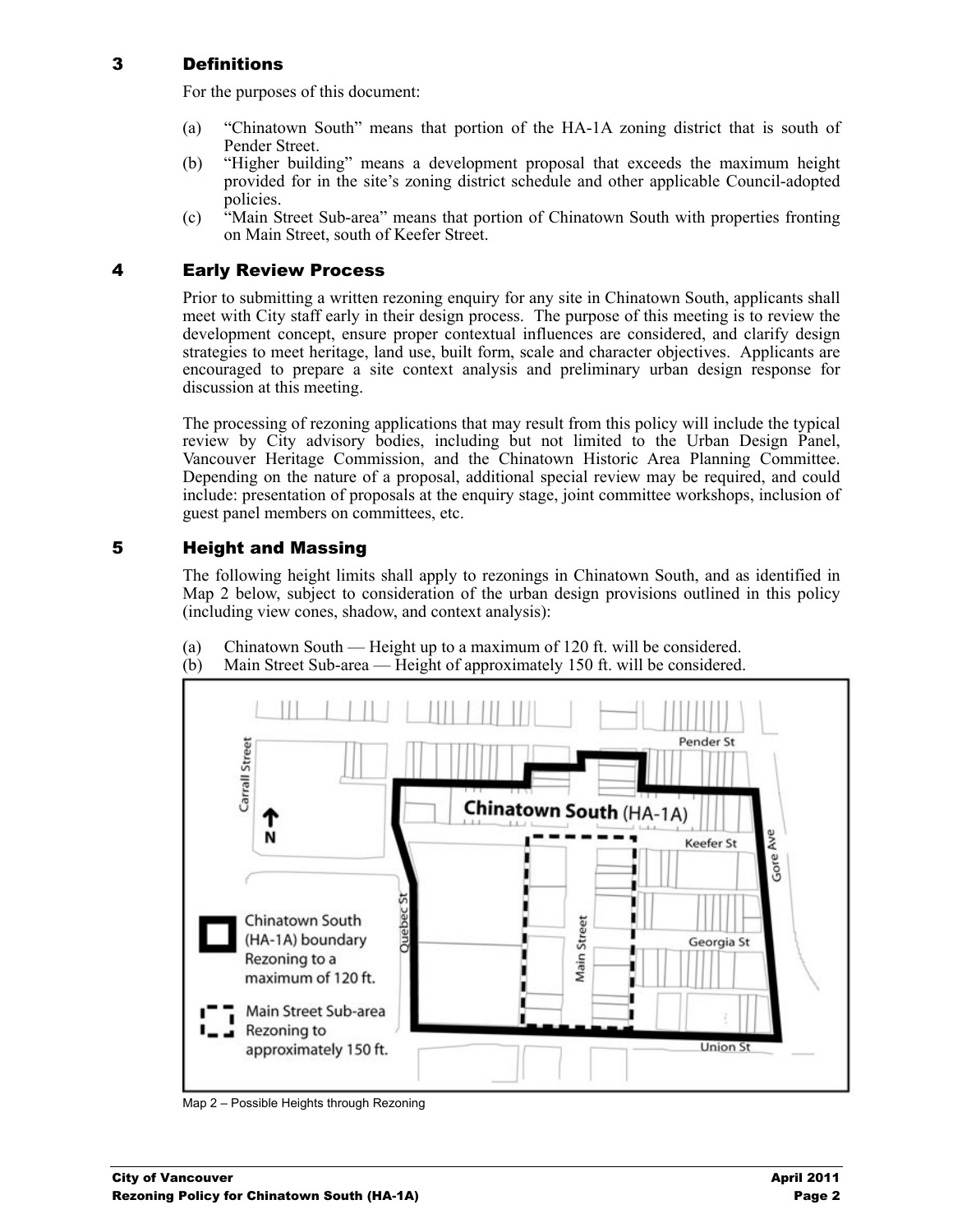#### 3 Definitions

For the purposes of this document:

- (a) "Chinatown South" means that portion of the HA-1A zoning district that is south of Pender Street.
- (b) "Higher building" means a development proposal that exceeds the maximum height provided for in the site's zoning district schedule and other applicable Council-adopted policies.
- (c) "Main Street Sub-area" means that portion of Chinatown South with properties fronting on Main Street, south of Keefer Street.

#### 4 Early Review Process

Prior to submitting a written rezoning enquiry for any site in Chinatown South, applicants shall meet with City staff early in their design process. The purpose of this meeting is to review the development concept, ensure proper contextual influences are considered, and clarify design strategies to meet heritage, land use, built form, scale and character objectives. Applicants are encouraged to prepare a site context analysis and preliminary urban design response for discussion at this meeting.

The processing of rezoning applications that may result from this policy will include the typical review by City advisory bodies, including but not limited to the Urban Design Panel, Vancouver Heritage Commission, and the Chinatown Historic Area Planning Committee. Depending on the nature of a proposal, additional special review may be required, and could include: presentation of proposals at the enquiry stage, joint committee workshops, inclusion of guest panel members on committees, etc.

#### 5 Height and Massing

The following height limits shall apply to rezonings in Chinatown South, and as identified in Map 2 below, subject to consideration of the urban design provisions outlined in this policy (including view cones, shadow, and context analysis):



(a) Chinatown South — Height up to a maximum of 120 ft. will be considered. (b) Main Street Sub-area — Height of approximately 150 ft. will be considered.

Map 2 – Possible Heights through Rezoning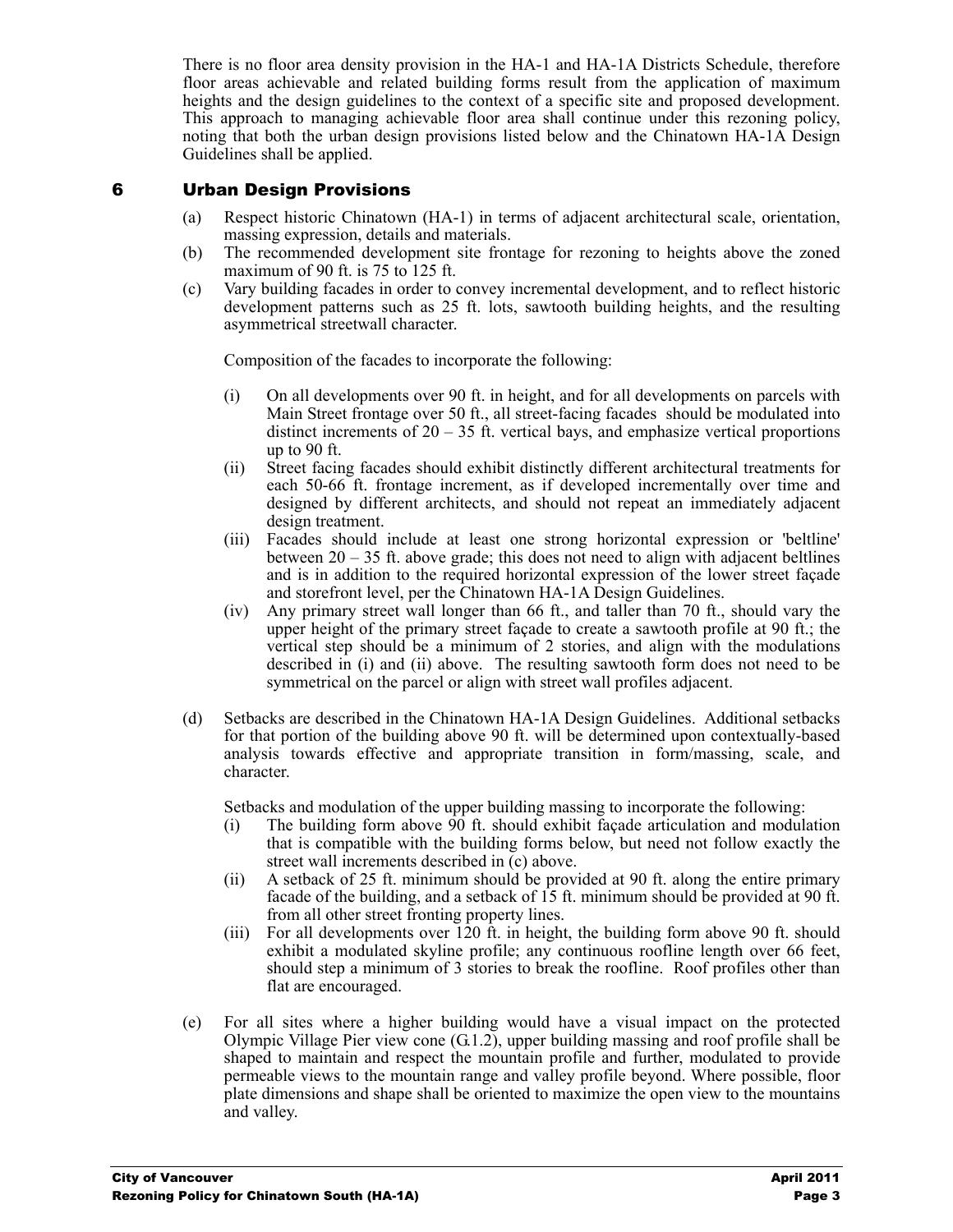There is no floor area density provision in the HA-1 and HA-1A Districts Schedule, therefore floor areas achievable and related building forms result from the application of maximum heights and the design guidelines to the context of a specific site and proposed development. This approach to managing achievable floor area shall continue under this rezoning policy, noting that both the urban design provisions listed below and the Chinatown HA-1A Design Guidelines shall be applied.

#### 6 Urban Design Provisions

- (a) Respect historic Chinatown (HA-1) in terms of adjacent architectural scale, orientation, massing expression, details and materials.
- (b) The recommended development site frontage for rezoning to heights above the zoned maximum of 90 ft. is 75 to 125 ft.
- (c) Vary building facades in order to convey incremental development, and to reflect historic development patterns such as 25 ft. lots, sawtooth building heights, and the resulting asymmetrical streetwall character.

Composition of the facades to incorporate the following:

- (i) On all developments over 90 ft. in height, and for all developments on parcels with Main Street frontage over 50 ft., all street-facing facades should be modulated into distinct increments of  $20 - 35$  ft. vertical bays, and emphasize vertical proportions up to 90 ft.
- (ii) Street facing facades should exhibit distinctly different architectural treatments for each 50-66 ft. frontage increment, as if developed incrementally over time and designed by different architects, and should not repeat an immediately adjacent design treatment.
- (iii) Facades should include at least one strong horizontal expression or 'beltline' between 20 – 35 ft. above grade; this does not need to align with adjacent beltlines and is in addition to the required horizontal expression of the lower street façade and storefront level, per the Chinatown HA-1A Design Guidelines.
- (iv) Any primary street wall longer than 66 ft., and taller than 70 ft., should vary the upper height of the primary street façade to create a sawtooth profile at 90 ft.; the vertical step should be a minimum of 2 stories, and align with the modulations described in (i) and (ii) above. The resulting sawtooth form does not need to be symmetrical on the parcel or align with street wall profiles adjacent.
- (d) Setbacks are described in the Chinatown HA-1A Design Guidelines. Additional setbacks for that portion of the building above 90 ft. will be determined upon contextually-based analysis towards effective and appropriate transition in form/massing, scale, and character.

Setbacks and modulation of the upper building massing to incorporate the following:

- (i) The building form above 90 ft. should exhibit façade articulation and modulation that is compatible with the building forms below, but need not follow exactly the street wall increments described in (c) above.
- (ii) A setback of 25 ft. minimum should be provided at 90 ft. along the entire primary facade of the building, and a setback of 15 ft. minimum should be provided at 90 ft. from all other street fronting property lines.
- (iii) For all developments over  $120$  ft. in height, the building form above 90 ft. should exhibit a modulated skyline profile; any continuous roofline length over 66 feet, should step a minimum of 3 stories to break the roofline. Roof profiles other than flat are encouraged.
- (e) For all sites where a higher building would have a visual impact on the protected Olympic Village Pier view cone  $(G.1.2)$ , upper building massing and roof profile shall be shaped to maintain and respect the mountain profile and further, modulated to provide permeable views to the mountain range and valley profile beyond. Where possible, floor plate dimensions and shape shall be oriented to maximize the open view to the mountains and valley.